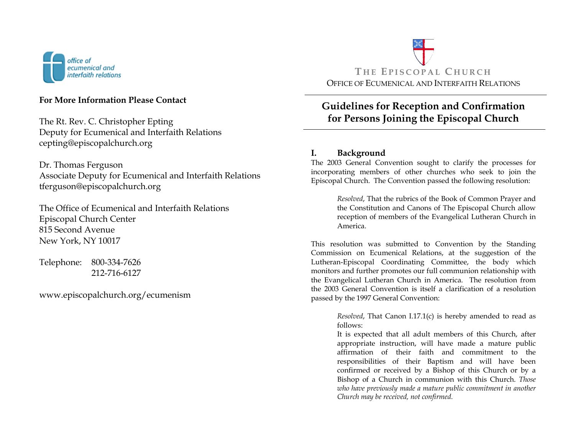

## **For More Information Please Contact**

The Rt. Rev. C. Christopher Epting Deputy for Ecumenical and Interfaith Relations cepting@episcopalchurch.org

Dr. Thomas Ferguson Associate Deputy for Ecumenical and Interfaith Relations tferguson@episcopalchurch.org

The Office of Ecumenical and Interfaith Relations Episcopal Church Center 815 Second Avenue New York, NY 10017

Telephone: 800-334-7626 212-716-6127

www.episcopalchurch.org/ecumenism



# **Guidelines for Reception and Confirmation for Persons Joining the Episcopal Church**

## **I. Background**

The 2003 General Convention sought to clarify the processes for incorporating members of other churches who seek to join the Episcopal Church. The Convention passed the following resolution:

> *Resolved*, That the rubrics of the Book of Common Prayer and the Constitution and Canons of The Episcopal Church allow reception of members of the Evangelical Lutheran Church in America.

This resolution was submitted to Convention by the Standing Commission on Ecumenical Relations, at the suggestion of the Lutheran-Episcopal Coordinating Committee, the body which monitors and further promotes our full communion relationship with the Evangelical Lutheran Church in America. The resolution from the 2003 General Convention is itself a clarification of a resolution passed by the 1997 General Convention:

> *Resolved*, That Canon I.17.1(c) is hereby amended to read as follows:

> It is expected that all adult members of this Church, after appropriate instruction, will have made a mature public affirmation of their faith and commitment to the responsibilities of their Baptism and will have been confirmed or received by a Bishop of this Church or by a Bishop of a Church in communion with this Church. *Those who have previously made a mature public commitment in another Church may be received, not confirmed.*